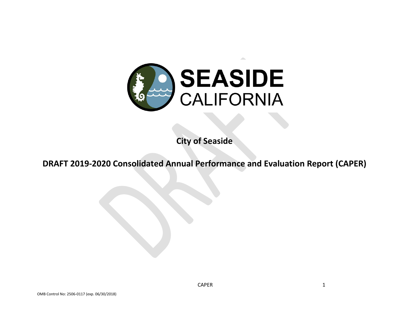

**City of Seaside**

**DRAFT 2019-2020 Consolidated Annual Performance and Evaluation Report (CAPER)**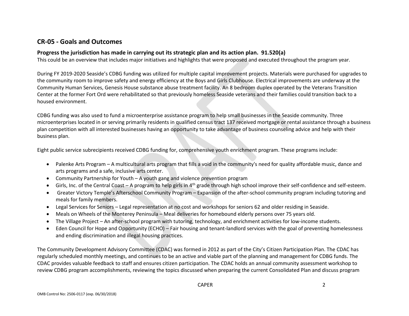## **CR-05 - Goals and Outcomes**

### **Progress the jurisdiction has made in carrying out its strategic plan and its action plan. 91.520(a)**

This could be an overview that includes major initiatives and highlights that were proposed and executed throughout the program year.

During FY 2019-2020 Seaside's CDBG funding was utilized for multiple capital improvement projects. Materials were purchased for upgrades to the community room to improve safety and energy efficiency at the Boys and Girls Clubhouse. Electrical improvements are underway at the Community Human Services, Genesis House substance abuse treatment facility. An 8 bedroom duplex operated by the Veterans Transition Center at the former Fort Ord were rehabilitated so that previously homeless Seaside veterans and their families could transition back to a housed environment.

CDBG funding was also used to fund a microenterprise assistance program to help small businesses in the Seaside community. Three microenterprises located in or serving primarily residents in qualified census tract 137 received mortgage or rental assistance through a business plan competition with all interested businesses having an opportunity to take advantage of business counseling advice and help with their business plan.

Eight public service subrecipients received CDBG funding for, comprehensive youth enrichment program. These programs include:

- Palenke Arts Program A multicultural arts program that fills a void in the community's need for quality affordable music, dance and arts programs and a safe, inclusive arts center.
- Community Partnership for Youth A youth gang and violence prevention program
- $\bullet$  Girls, Inc. of the Central Coast A program to help girls in  $4<sup>th</sup>$  grade through high school improve their self-confidence and self-esteem.
- Greater Victory Temple's Afterschool Community Program Expansion of the after-school community program including tutoring and meals for family members.
- Legal Services for Seniors Legal representation at no cost and workshops for seniors 62 and older residing in Seaside.
- Meals on Wheels of the Monterey Peninsula Meal deliveries for homebound elderly persons over 75 years old.
- The Village Project An after-school program with tutoring, technology, and enrichment activities for low-income students.
- Eden Council for Hope and Opportunity (ECHO) Fair housing and tenant-landlord services with the goal of preventing homelessness and ending discrimination and illegal housing practices.

The Community Development Advisory Committee (CDAC) was formed in 2012 as part of the City's Citizen Participation Plan. The CDAC has regularly scheduled monthly meetings, and continues to be an active and viable part of the planning and management for CDBG funds. The CDAC provides valuable feedback to staff and ensures citizen participation. The CDAC holds an annual community assessment workshop to review CDBG program accomplishments, reviewing the topics discussed when preparing the current Consolidated Plan and discuss program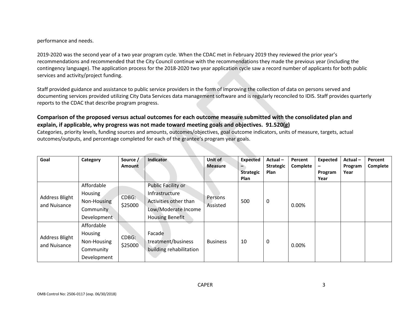performance and needs.

2019-2020 was the second year of a two year program cycle. When the CDAC met in February 2019 they reviewed the prior year's recommendations and recommended that the City Council continue with the recommendations they made the previous year (including the contingency language). The application process for the 2018-2020 two year application cycle saw a record number of applicants for both public services and activity/project funding.

Staff provided guidance and assistance to public service providers in the form of improving the collection of data on persons served and documenting services provided utilizing City Data Services data management software and is regularly reconciled to IDIS. Staff provides quarterly reports to the CDAC that describe program progress.

### **Comparison of the proposed versus actual outcomes for each outcome measure submitted with the consolidated plan and explain, if applicable, why progress was not made toward meeting goals and objectives. 91.520(g)**

Categories, priority levels, funding sources and amounts, outcomes/objectives, goal outcome indicators, units of measure, targets, actual outcomes/outputs, and percentage completed for each of the grantee's program year goals.

| Goal                                  | Category                                                         | Source /<br><b>Amount</b> | Indicator                                                                                                      | Unit of<br><b>Measure</b> | <b>Expected</b><br><b>Strategic</b><br><b>Plan</b> | Actual-<br><b>Strategic</b><br>Plan | Percent<br>Complete | Expected<br>-<br>Program<br>Year | Actual-<br>Program<br>Year | Percent<br>Complete |
|---------------------------------------|------------------------------------------------------------------|---------------------------|----------------------------------------------------------------------------------------------------------------|---------------------------|----------------------------------------------------|-------------------------------------|---------------------|----------------------------------|----------------------------|---------------------|
| <b>Address Blight</b><br>and Nuisance | Affordable<br>Housing<br>Non-Housing<br>Community<br>Development | CDBG:<br>\$25000          | Public Facility or<br>Infrastructure<br>Activities other than<br>Low/Moderate Income<br><b>Housing Benefit</b> | Persons<br>Assisted       | 500                                                | 0                                   | 0.00%               |                                  |                            |                     |
| <b>Address Blight</b><br>and Nuisance | Affordable<br>Housing<br>Non-Housing<br>Community<br>Development | CDBG:<br>\$25000          | Facade<br>treatment/business<br>building rehabilitation                                                        | <b>Business</b>           | 10                                                 | 0                                   | 0.00%               |                                  |                            |                     |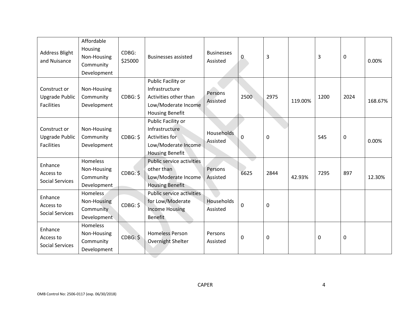| <b>Address Blight</b><br>and Nuisance                      | Affordable<br>Housing<br>Non-Housing<br>Community<br>Development | CDBG:<br>\$25000 | <b>Businesses assisted</b>                                                                                     | <b>Businesses</b><br>Assisted | 0           | 3    |         | 3    | 0    | 0.00%   |
|------------------------------------------------------------|------------------------------------------------------------------|------------------|----------------------------------------------------------------------------------------------------------------|-------------------------------|-------------|------|---------|------|------|---------|
| Construct or<br><b>Upgrade Public</b><br><b>Facilities</b> | Non-Housing<br>Community<br>Development                          | CDBG: \$         | Public Facility or<br>Infrastructure<br>Activities other than<br>Low/Moderate Income<br><b>Housing Benefit</b> | Persons<br>Assisted           | 2500        | 2975 | 119.00% | 1200 | 2024 | 168.67% |
| Construct or<br><b>Upgrade Public</b><br><b>Facilities</b> | Non-Housing<br>Community<br>Development                          | CDBG: \$         | Public Facility or<br>Infrastructure<br>Activities for<br>Low/Moderate Income<br><b>Housing Benefit</b>        | <b>Households</b><br>Assisted | 0           | 0    |         | 545  | 0    | 0.00%   |
| Enhance<br>Access to<br><b>Social Services</b>             | Homeless<br>Non-Housing<br>Community<br>Development              | CDBG: \$         | <b>Public service activities</b><br>other than<br>Low/Moderate Income<br><b>Housing Benefit</b>                | Persons<br>Assisted           | 6625        | 2844 | 42.93%  | 7295 | 897  | 12.30%  |
| Enhance<br>Access to<br><b>Social Services</b>             | Homeless<br>Non-Housing<br>Community<br>Development              | CDBG: \$         | <b>Public service activities</b><br>for Low/Moderate<br><b>Income Housing</b><br><b>Benefit</b>                | Households<br>Assisted        | $\mathbf 0$ | 0    |         |      |      |         |
| Enhance<br>Access to<br><b>Social Services</b>             | Homeless<br>Non-Housing<br>Community<br>Development              | CDBG: \$         | <b>Homeless Person</b><br>Overnight Shelter                                                                    | Persons<br>Assisted           | 0           | 0    |         | 0    | 0    |         |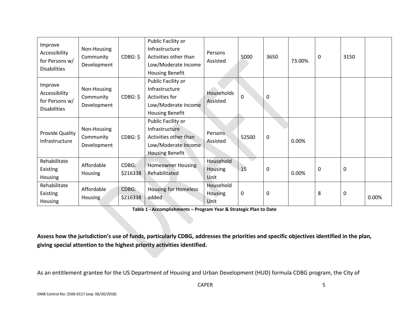| Improve<br>Accessibility<br>for Persons w/<br><b>Disabilities</b> | Non-Housing<br>Community<br>Development | CDBG: \$          | Public Facility or<br>Infrastructure<br>Activities other than<br>Low/Moderate Income<br><b>Housing Benefit</b> | Persons<br>Assisted          | 5000        | 3650 | 73.00% | 0 | 3150 |       |
|-------------------------------------------------------------------|-----------------------------------------|-------------------|----------------------------------------------------------------------------------------------------------------|------------------------------|-------------|------|--------|---|------|-------|
| Improve<br>Accessibility<br>for Persons w/<br><b>Disabilities</b> | Non-Housing<br>Community<br>Development | CDBG: \$          | Public Facility or<br>Infrastructure<br>Activities for<br>Low/Moderate Income<br><b>Housing Benefit</b>        | Households<br>Assisted       | $\mathbf 0$ | 0    |        |   |      |       |
| Provide Quality<br>Infrastructure                                 | Non-Housing<br>Community<br>Development | CDBG: \$          | Public Facility or<br>Infrastructure<br>Activities other than<br>Low/Moderate Income<br>Housing Benefit        | Persons<br>Assisted          | 52500       | 0    | 0.00%  |   |      |       |
| Rehabilitate<br>Existing<br>Housing                               | Affordable<br>Housing                   | CDBG:<br>\$216338 | <b>Homeowner Housing</b><br>Rehabilitated                                                                      | Household<br>Housing<br>Unit | 15          | 0    | 0.00%  | 0 | 0    |       |
| Rehabilitate<br>Existing<br>Housing                               | Affordable<br>Housing                   | CDBG:<br>\$216338 | <b>Housing for Homeless</b><br>added                                                                           | Household<br>Housing<br>Unit | $\mathbf 0$ | 0    |        | 8 | 0    | 0.00% |

**Table 1 - Accomplishments – Program Year & Strategic Plan to Date**

**Assess how the jurisdiction's use of funds, particularly CDBG, addresses the priorities and specific objectives identified in the plan, giving special attention to the highest priority activities identified.**

As an entitlement grantee for the US Department of Housing and Urban Development (HUD) formula CDBG program, the City of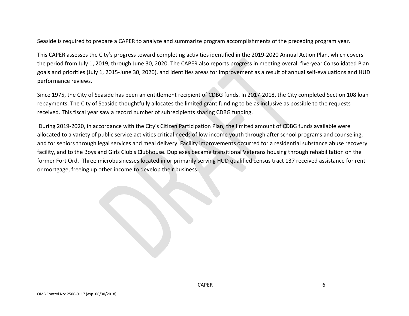Seaside is required to prepare a CAPER to analyze and summarize program accomplishments of the preceding program year.

This CAPER assesses the City's progress toward completing activities identified in the 2019-2020 Annual Action Plan, which covers the period from July 1, 2019, through June 30, 2020. The CAPER also reports progress in meeting overall five-year Consolidated Plan goals and priorities (July 1, 2015-June 30, 2020), and identifies areas for improvement as a result of annual self-evaluations and HUD performance reviews.

Since 1975, the City of Seaside has been an entitlement recipient of CDBG funds. In 2017-2018, the City completed Section 108 loan repayments. The City of Seaside thoughtfully allocates the limited grant funding to be as inclusive as possible to the requests received. This fiscal year saw a record number of subrecipients sharing CDBG funding.

During 2019-2020, in accordance with the City's Citizen Participation Plan, the limited amount of CDBG funds available were allocated to a variety of public service activities critical needs of low income youth through after school programs and counseling, and for seniors through legal services and meal delivery. Facility improvements occurred for a residential substance abuse recovery facility, and to the Boys and Girls Club's Clubhouse. Duplexes became transitional Veterans housing through rehabilitation on the former Fort Ord. Three microbusinesses located in or primarily serving HUD qualified census tract 137 received assistance for rent or mortgage, freeing up other income to develop their business.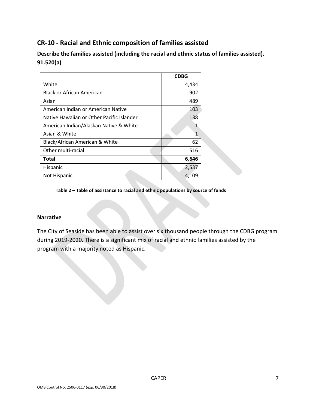# **CR-10 - Racial and Ethnic composition of families assisted**

**Describe the families assisted (including the racial and ethnic status of families assisted). 91.520(a)** 

|                                           | <b>CDBG</b> |
|-------------------------------------------|-------------|
| White                                     | 4,434       |
| <b>Black or African American</b>          | 902         |
| Asian                                     | 489         |
| American Indian or American Native        | 103         |
| Native Hawaiian or Other Pacific Islander | 138         |
| American Indian/Alaskan Native & White    | 1           |
| Asian & White                             | 1           |
| Black/African American & White            | 62          |
| Other multi-racial                        | 516         |
| Total                                     | 6,646       |
| Hispanic                                  | 2,537       |
| Not Hispanic                              | 4,109       |

**Table 2 – Table of assistance to racial and ethnic populations by source of funds**

#### **Narrative**

The City of Seaside has been able to assist over six thousand people through the CDBG program during 2019-2020. There is a significant mix of racial and ethnic families assisted by the program with a majority noted as Hispanic.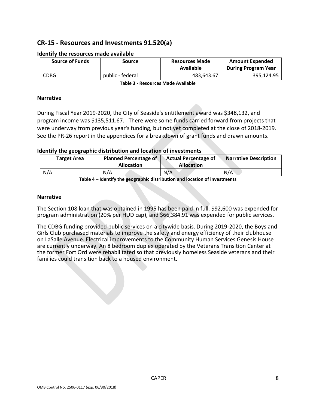# **CR-15 - Resources and Investments 91.520(a)**

| <b>Source of Funds</b> | Source           | <b>Resources Made</b><br>Available | <b>Amount Expended</b><br><b>During Program Year</b> |
|------------------------|------------------|------------------------------------|------------------------------------------------------|
| <b>CDBG</b>            | public - federal | 483,643.67                         | 395,124.95                                           |

#### **Identify the resources made available**

**Table 3 - Resources Made Available**

#### **Narrative**

During Fiscal Year 2019-2020, the City of Seaside's entitlement award was \$348,132, and program income was \$135,511.67. There were some funds carried forward from projects that were underway from previous year's funding, but not yet completed at the close of 2018-2019. See the PR-26 report in the appendices for a breakdown of grant funds and drawn amounts.

#### **Identify the geographic distribution and location of investments**

| <b>Target Area</b> | <b>Planned Percentage of</b><br><b>Allocation</b> | <b>Actual Percentage of</b><br><b>Allocation</b> | <b>Narrative Description</b> |
|--------------------|---------------------------------------------------|--------------------------------------------------|------------------------------|
| N/A                | N/A                                               | N/A                                              | N/A                          |

**Table 4 – Identify the geographic distribution and location of investments**

#### **Narrative**

The Section 108 loan that was obtained in 1995 has been paid in full. \$92,600 was expended for program administration (20% per HUD cap), and \$66,384.91 was expended for public services.

The CDBG funding provided public services on a citywide basis. During 2019-2020, the Boys and Girls Club purchased materials to improve the safety and energy efficiency of their clubhouse on LaSalle Avenue. Electrical improvements to the Community Human Services Genesis House are currently underway. An 8 bedroom duplex operated by the Veterans Transition Center at the former Fort Ord were rehabilitated so that previously homeless Seaside veterans and their families could transition back to a housed environment.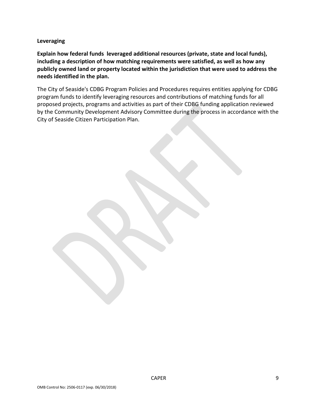**Leveraging**

**Explain how federal funds leveraged additional resources (private, state and local funds), including a description of how matching requirements were satisfied, as well as how any publicly owned land or property located within the jurisdiction that were used to address the needs identified in the plan.**

The City of Seaside's CDBG Program Policies and Procedures requires entities applying for CDBG program funds to identify leveraging resources and contributions of matching funds for all proposed projects, programs and activities as part of their CDBG funding application reviewed by the Community Development Advisory Committee during the process in accordance with the City of Seaside Citizen Participation Plan.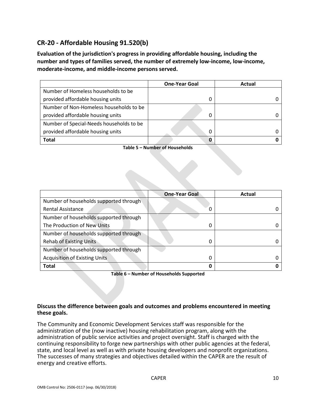# **CR-20 - Affordable Housing 91.520(b)**

**Evaluation of the jurisdiction's progress in providing affordable housing, including the number and types of families served, the number of extremely low-income, low-income, moderate-income, and middle-income persons served.**

|                                          | <b>One-Year Goal</b> | Actual |
|------------------------------------------|----------------------|--------|
| Number of Homeless households to be      |                      |        |
| provided affordable housing units        |                      |        |
| Number of Non-Homeless households to be  |                      |        |
| provided affordable housing units        | 0                    |        |
| Number of Special-Needs households to be |                      |        |
| provided affordable housing units        | 0                    |        |
| <b>Total</b>                             | O                    |        |

**Table 5 – Number of Households**

|                                        | <b>One-Year Goal</b> | Actual |
|----------------------------------------|----------------------|--------|
| Number of households supported through |                      |        |
| <b>Rental Assistance</b>               | 0                    |        |
| Number of households supported through |                      |        |
| The Production of New Units            | 0                    |        |
| Number of households supported through |                      |        |
| <b>Rehab of Existing Units</b>         | 0                    |        |
| Number of households supported through |                      |        |
| <b>Acquisition of Existing Units</b>   | 0                    |        |
| <b>Total</b>                           | 0                    |        |

**Table 6 – Number of Households Supported**

#### **Discuss the difference between goals and outcomes and problems encountered in meeting these goals.**

The Community and Economic Development Services staff was responsible for the administration of the (now inactive) housing rehabilitation program, along with the administration of public service activities and project oversight. Staff is charged with the continuing responsibility to forge new partnerships with other public agencies at the federal, state, and local level as well as with private housing developers and nonprofit organizations. The successes of many strategies and objectives detailed within the CAPER are the result of energy and creative efforts.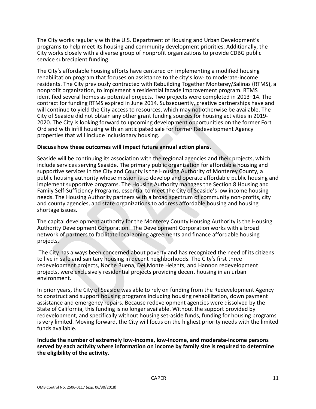The City works regularly with the U.S. Department of Housing and Urban Development's programs to help meet its housing and community development priorities. Additionally, the City works closely with a diverse group of nonprofit organizations to provide CDBG public service subrecipient funding.

The City's affordable housing efforts have centered on implementing a modified housing rehabilitation program that focuses on assistance to the city's low- to moderate-income residents. The City previously contracted with Rebuilding Together Monterey/Salinas (RTMS), a nonprofit organization, to implement a residential façade improvement program. RTMS identified several homes as potential projects. Two projects were completed in 2013–14. The contract for funding RTMS expired in June 2014. Subsequently, creative partnerships have and will continue to yield the City access to resources, which may not otherwise be available. The City of Seaside did not obtain any other grant funding sources for housing activities in 2019- 2020. The City is looking forward to upcoming development opportunities on the former Fort Ord and with infill housing with an anticipated sale for former Redevelopment Agency properties that will include inclusionary housing.

#### **Discuss how these outcomes will impact future annual action plans.**

Seaside will be continuing its association with the regional agencies and their projects, which include services serving Seaside. The primary public organization for affordable housing and supportive services in the City and County is the Housing Authority of Monterey County, a public housing authority whose mission is to develop and operate affordable public housing and implement supportive programs. The Housing Authority manages the Section 8 Housing and Family Self-Sufficiency Programs, essential to meet the City of Seaside's low income housing needs. The Housing Authority partners with a broad spectrum of community non-profits, city and county agencies, and state organizations to address affordable housing and housing shortage issues.

The capital development authority for the Monterey County Housing Authority is the Housing Authority Development Corporation. The Development Corporation works with a broad network of partners to facilitate local zoning agreements and finance affordable housing projects.

The City has always been concerned about poverty and has recognized the need of its citizens to live in safe and sanitary housing in decent neighborhoods. The City's first three redevelopment projects, Noche Buena, Del Monte Heights, and Hannon redevelopment projects, were exclusively residential projects providing decent housing in an urban environment.

In prior years, the City of Seaside was able to rely on funding from the Redevelopment Agency to construct and support housing programs including housing rehabilitation, down payment assistance and emergency repairs. Because redevelopment agencies were dissolved by the State of California, this funding is no longer available. Without the support provided by redevelopment, and specifically without housing set-aside funds, funding for housing programs is very limited. Moving forward, the City will focus on the highest priority needs with the limited funds available.

**Include the number of extremely low-income, low-income, and moderate-income persons served by each activity where information on income by family size is required to determine the eligibility of the activity.**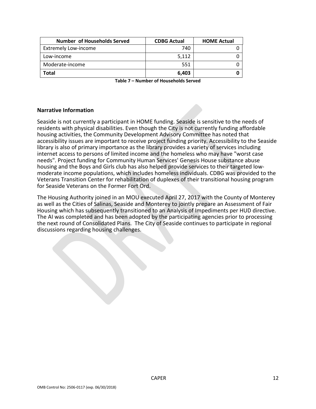| Number of Households Served | <b>CDBG Actual</b> | <b>HOME Actual</b> |
|-----------------------------|--------------------|--------------------|
| <b>Extremely Low-income</b> | 740                |                    |
| Low-income                  | 5.112              |                    |
| Moderate-income             | 551                |                    |
| Total                       | 6,403              |                    |

**Table 7 – Number of Households Served**

#### **Narrative Information**

Seaside is not currently a participant in HOME funding. Seaside is sensitive to the needs of residents with physical disabilities. Even though the City is not currently funding affordable housing activities, the Community Development Advisory Committee has noted that accessibility issues are important to receive project funding priority. Accessibility to the Seaside library is also of primary importance as the library provides a variety of services including internet access to persons of limited income and the homeless who may have "worst case needs". Project funding for Community Human Services' Genesis House substance abuse housing and the Boys and Girls club has also helped provide services to their targeted lowmoderate income populations, which includes homeless individuals. CDBG was provided to the Veterans Transition Center for rehabilitation of duplexes of their transitional housing program for Seaside Veterans on the Former Fort Ord.

The Housing Authority joined in an MOU executed April 27, 2017 with the County of Monterey as well as the Cities of Salinas, Seaside and Monterey to jointly prepare an Assessment of Fair Housing which has subsequently transitioned to an Analysis of Impediments per HUD directive. The AI was completed and has been adopted by the participating agencies prior to processing the next round of Consolidated Plans. The City of Seaside continues to participate in regional discussions regarding housing challenges.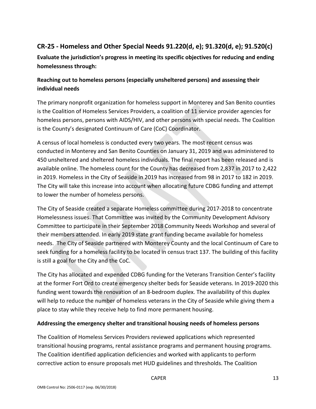# **CR-25 - Homeless and Other Special Needs 91.220(d, e); 91.320(d, e); 91.520(c)**

**Evaluate the jurisdiction's progress in meeting its specific objectives for reducing and ending homelessness through:**

## **Reaching out to homeless persons (especially unsheltered persons) and assessing their individual needs**

The primary nonprofit organization for homeless support in Monterey and San Benito counties is the Coalition of Homeless Services Providers, a coalition of 11 service provider agencies for homeless persons, persons with AIDS/HIV, and other persons with special needs. The Coalition is the County's designated Continuum of Care (CoC) Coordinator.

A census of local homeless is conducted every two years. The most recent census was conducted in Monterey and San Benito Counties on January 31, 2019 and was administered to 450 unsheltered and sheltered homeless individuals. The final report has been released and is available online. The homeless count for the County has decreased from 2,837 in 2017 to 2,422 in 2019. Homeless in the City of Seaside in 2019 has increased from 98 in 2017 to 182 in 2019. The City will take this increase into account when allocating future CDBG funding and attempt to lower the number of homeless persons.

The City of Seaside created a separate Homeless committee during 2017-2018 to concentrate Homelessness issues. That Committee was invited by the Community Development Advisory Committee to participate in their September 2018 Community Needs Workshop and several of their members attended. In early 2019 state grant funding became available for homeless needs. The City of Seaside partnered with Monterey County and the local Continuum of Care to seek funding for a homeless facility to be located in census tract 137. The building of this facility is still a goal for the City and the CoC.

The City has allocated and expended CDBG funding for the Veterans Transition Center's facility at the former Fort Ord to create emergency shelter beds for Seaside veterans. In 2019-2020 this funding went towards the renovation of an 8-bedroom duplex. The availability of this duplex will help to reduce the number of homeless veterans in the City of Seaside while giving them a place to stay while they receive help to find more permanent housing.

### **Addressing the emergency shelter and transitional housing needs of homeless persons**

The Coalition of Homeless Services Providers reviewed applications which represented transitional housing programs, rental assistance programs and permanent housing programs. The Coalition identified application deficiencies and worked with applicants to perform corrective action to ensure proposals met HUD guidelines and thresholds. The Coalition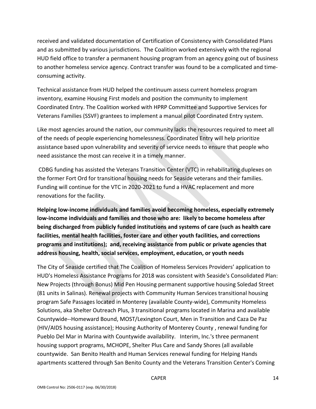received and validated documentation of Certification of Consistency with Consolidated Plans and as submitted by various jurisdictions. The Coalition worked extensively with the regional HUD field office to transfer a permanent housing program from an agency going out of business to another homeless service agency. Contract transfer was found to be a complicated and timeconsuming activity.

Technical assistance from HUD helped the continuum assess current homeless program inventory, examine Housing First models and position the community to implement Coordinated Entry. The Coalition worked with HPRP Committee and Supportive Services for Veterans Families (SSVF) grantees to implement a manual pilot Coordinated Entry system.

Like most agencies around the nation, our community lacks the resources required to meet all of the needs of people experiencing homelessness. Coordinated Entry will help prioritize assistance based upon vulnerability and severity of service needs to ensure that people who need assistance the most can receive it in a timely manner.

CDBG funding has assisted the Veterans Transition Center (VTC) in rehabilitating duplexes on the former Fort Ord for transitional housing needs for Seaside veterans and their families. Funding will continue for the VTC in 2020-2021 to fund a HVAC replacement and more renovations for the facility.

**Helping low-income individuals and families avoid becoming homeless, especially extremely low-income individuals and families and those who are: likely to become homeless after being discharged from publicly funded institutions and systems of care (such as health care facilities, mental health facilities, foster care and other youth facilities, and corrections programs and institutions); and, receiving assistance from public or private agencies that address housing, health, social services, employment, education, or youth needs**

The City of Seaside certified that The Coalition of Homeless Services Providers' application to HUD's Homeless Assistance Programs for 2018 was consistent with Seaside's Consolidated Plan: New Projects (through Bonus) Mid Pen Housing permanent supportive housing Soledad Street (81 units in Salinas). Renewal projects with Community Human Services transitional housing program Safe Passages located in Monterey (available County-wide), Community Homeless Solutions, aka Shelter Outreach Plus, 3 transitional programs located in Marina and available Countywide--Homeward Bound, MOST/Lexington Court, Men in Transition and Caza De Paz (HIV/AIDS housing assistance); Housing Authority of Monterey County , renewal funding for Pueblo Del Mar in Marina with Countywide availability. Interim, Inc.'s three permanent housing support programs, MCHOPE, Shelter Plus Care and Sandy Shores (all available countywide. San Benito Health and Human Services renewal funding for Helping Hands apartments scattered through San Benito County and the Veterans Transition Center's Coming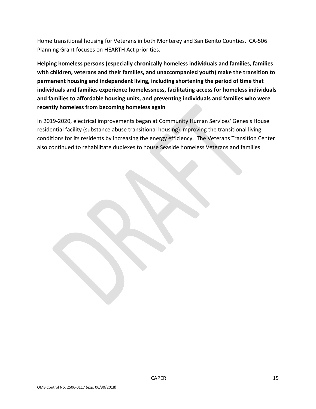Home transitional housing for Veterans in both Monterey and San Benito Counties. CA-506 Planning Grant focuses on HEARTH Act priorities.

**Helping homeless persons (especially chronically homeless individuals and families, families with children, veterans and their families, and unaccompanied youth) make the transition to permanent housing and independent living, including shortening the period of time that individuals and families experience homelessness, facilitating access for homeless individuals and families to affordable housing units, and preventing individuals and families who were recently homeless from becoming homeless again**

In 2019-2020, electrical improvements began at Community Human Services' Genesis House residential facility (substance abuse transitional housing) improving the transitional living conditions for its residents by increasing the energy efficiency. The Veterans Transition Center also continued to rehabilitate duplexes to house Seaside homeless Veterans and families.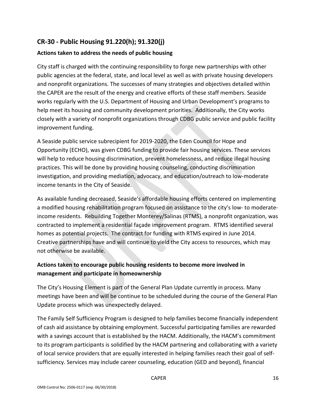# **CR-30 - Public Housing 91.220(h); 91.320(j)**

### **Actions taken to address the needs of public housing**

City staff is charged with the continuing responsibility to forge new partnerships with other public agencies at the federal, state, and local level as well as with private housing developers and nonprofit organizations. The successes of many strategies and objectives detailed within the CAPER are the result of the energy and creative efforts of these staff members. Seaside works regularly with the U.S. Department of Housing and Urban Development's programs to help meet its housing and community development priorities. Additionally, the City works closely with a variety of nonprofit organizations through CDBG public service and public facility improvement funding.

A Seaside public service subrecipient for 2019-2020, the Eden Council for Hope and Opportunity (ECHO), was given CDBG funding to provide fair housing services. These services will help to reduce housing discrimination, prevent homelessness, and reduce illegal housing practices. This will be done by providing housing counseling, conducting discrimination investigation, and providing mediation, advocacy, and education/outreach to low-moderate income tenants in the City of Seaside.

As available funding decreased, Seaside's affordable housing efforts centered on implementing a modified housing rehabilitation program focused on assistance to the city's low- to moderateincome residents. Rebuilding Together Monterey/Salinas (RTMS), a nonprofit organization, was contracted to implement a residential façade improvement program. RTMS identified several homes as potential projects. The contract for funding with RTMS expired in June 2014. Creative partnerships have and will continue to yield the City access to resources, which may not otherwise be available.

## **Actions taken to encourage public housing residents to become more involved in management and participate in homeownership**

The City's Housing Element is part of the General Plan Update currently in process. Many meetings have been and will be continue to be scheduled during the course of the General Plan Update process which was unexpectedly delayed.

The Family Self Sufficiency Program is designed to help families become financially independent of cash aid assistance by obtaining employment. Successful participating families are rewarded with a savings account that is established by the HACM. Additionally, the HACM's commitment to its program participants is solidified by the HACM partnering and collaborating with a variety of local service providers that are equally interested in helping families reach their goal of selfsufficiency. Services may include career counseling, education (GED and beyond), financial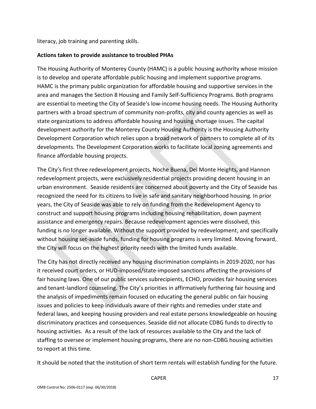literacy, job training and parenting skills.

### **Actions taken to provide assistance to troubled PHAs**

The Housing Authority of Monterey County (HAMC) is a public housing authority whose mission is to develop and operate affordable public housing and implement supportive programs. HAMC is the primary public organization for affordable housing and supportive services in the area and manages the Section 8 Housing and Family Self-Sufficiency Programs. Both programs are essential to meeting the City of Seaside's low-income housing needs. The Housing Authority partners with a broad spectrum of community non-profits, city and county agencies as well as state organizations to address affordable housing and housing shortage issues. The capital development authority for the Monterey County Housing Authority is the Housing Authority Development Corporation which relies upon a broad network of partners to complete all of its developments. The Development Corporation works to facilitate local zoning agreements and finance affordable housing projects.

The City's first three redevelopment projects, Noche Buena, Del Monte Heights, and Hannon redevelopment projects, were exclusively residential projects providing decent housing in an urban environment. Seaside residents are concerned about poverty and the City of Seaside has recognized the need for its citizens to live in safe and sanitary neighborhood housing. In prior years, the City of Seaside was able to rely on funding from the Redevelopment Agency to construct and support housing programs including housing rehabilitation, down payment assistance and emergency repairs. Because redevelopment agencies were dissolved, this funding is no longer available. Without the support provided by redevelopment, and specifically without housing set-aside funds, funding for housing programs is very limited. Moving forward, the City will focus on the highest priority needs with the limited funds available.

The City has not directly received any housing discrimination complaints in 2019-2020, nor has it received court orders, or HUD-imposed/state-imposed sanctions affecting the provisions of fair housing laws. One of our public services subrecipients, ECHO, provides fair housing services and tenant-landlord counseling. The City's priorities in affirmatively furthering fair housing and the analysis of impediments remain focused on educating the general public on fair housing issues and policies to keep individuals aware of their rights and remedies under state and federal laws, and keeping housing providers and real estate persons knowledgeable on housing discriminatory practices and consequences. Seaside did not allocate CDBG funds to directly to housing activities. As a result of the lack of resources available to the City and the lack of staffing to oversee or implement housing programs, there are no non-CDBG housing activities to report at this time.

It should be noted that the institution of short term rentals will establish funding for the future.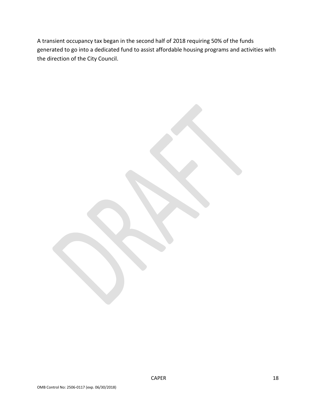A transient occupancy tax began in the second half of 2018 requiring 50% of the funds generated to go into a dedicated fund to assist affordable housing programs and activities with the direction of the City Council.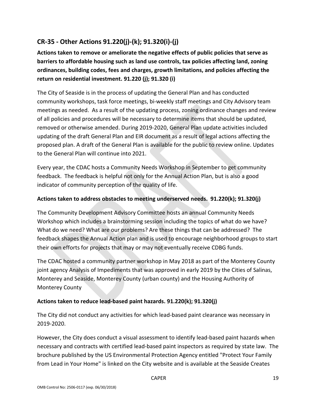# **CR-35 - Other Actions 91.220(j)-(k); 91.320(i)-(j)**

**Actions taken to remove or ameliorate the negative effects of public policies that serve as barriers to affordable housing such as land use controls, tax policies affecting land, zoning ordinances, building codes, fees and charges, growth limitations, and policies affecting the return on residential investment. 91.220 (j); 91.320 (i)**

The City of Seaside is in the process of updating the General Plan and has conducted community workshops, task force meetings, bi-weekly staff meetings and City Advisory team meetings as needed. As a result of the updating process, zoning ordinance changes and review of all policies and procedures will be necessary to determine items that should be updated, removed or otherwise amended. During 2019-2020, General Plan update activities included updating of the draft General Plan and EIR document as a result of legal actions affecting the proposed plan. A draft of the General Plan is available for the public to review online. Updates to the General Plan will continue into 2021.

Every year, the CDAC hosts a Community Needs Workshop in September to get community feedback. The feedback is helpful not only for the Annual Action Plan, but is also a good indicator of community perception of the quality of life.

### **Actions taken to address obstacles to meeting underserved needs. 91.220(k); 91.320(j)**

The Community Development Advisory Committee hosts an annual Community Needs Workshop which includes a brainstorming session including the topics of what do we have? What do we need? What are our problems? Are these things that can be addressed? The feedback shapes the Annual Action plan and is used to encourage neighborhood groups to start their own efforts for projects that may or may not eventually receive CDBG funds.

The CDAC hosted a community partner workshop in May 2018 as part of the Monterey County joint agency Analysis of Impediments that was approved in early 2019 by the Cities of Salinas, Monterey and Seaside, Monterey County (urban county) and the Housing Authority of Monterey County

### **Actions taken to reduce lead-based paint hazards. 91.220(k); 91.320(j)**

The City did not conduct any activities for which lead-based paint clearance was necessary in 2019-2020.

However, the City does conduct a visual assessment to identify lead-based paint hazards when necessary and contracts with certified lead-based paint inspectors as required by state law. The brochure published by the US Environmental Protection Agency entitled "Protect Your Family from Lead in Your Home" is linked on the City website and is available at the Seaside Creates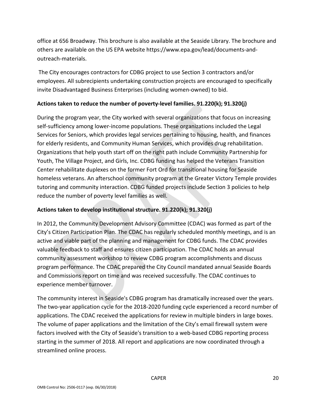office at 656 Broadway. This brochure is also available at the Seaside Library. The brochure and others are available on the US EPA website https://www.epa.gov/lead/documents-andoutreach-materials.

The City encourages contractors for CDBG project to use Section 3 contractors and/or employees. All subrecipients undertaking construction projects are encouraged to specifically invite Disadvantaged Business Enterprises (including women-owned) to bid.

### **Actions taken to reduce the number of poverty-level families. 91.220(k); 91.320(j)**

During the program year, the City worked with several organizations that focus on increasing self-sufficiency among lower-income populations. These organizations included the Legal Services for Seniors, which provides legal services pertaining to housing, health, and finances for elderly residents, and Community Human Services, which provides drug rehabilitation. Organizations that help youth start off on the right path include Community Partnership for Youth, The Village Project, and Girls, Inc. CDBG funding has helped the Veterans Transition Center rehabilitate duplexes on the former Fort Ord for transitional housing for Seaside homeless veterans. An afterschool community program at the Greater Victory Temple provides tutoring and community interaction. CDBG funded projects include Section 3 policies to help reduce the number of poverty level families as well.

## **Actions taken to develop institutional structure. 91.220(k); 91.320(j)**

In 2012, the Community Development Advisory Committee (CDAC) was formed as part of the City's Citizen Participation Plan. The CDAC has regularly scheduled monthly meetings, and is an active and viable part of the planning and management for CDBG funds. The CDAC provides valuable feedback to staff and ensures citizen participation. The CDAC holds an annual community assessment workshop to review CDBG program accomplishments and discuss program performance. The CDAC prepared the City Council mandated annual Seaside Boards and Commissions report on time and was received successfully. The CDAC continues to experience member turnover.

The community interest in Seaside's CDBG program has dramatically increased over the years. The two-year application cycle for the 2018-2020 funding cycle experienced a record number of applications. The CDAC received the applications for review in multiple binders in large boxes. The volume of paper applications and the limitation of the City's email firewall system were factors involved with the City of Seaside's transition to a web-based CDBG reporting process starting in the summer of 2018. All report and applications are now coordinated through a streamlined online process.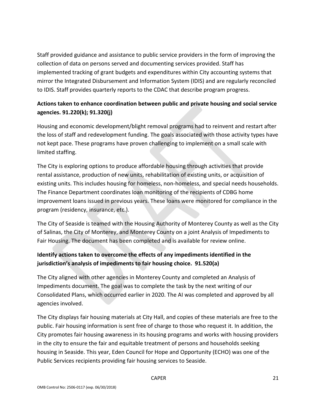Staff provided guidance and assistance to public service providers in the form of improving the collection of data on persons served and documenting services provided. Staff has implemented tracking of grant budgets and expenditures within City accounting systems that mirror the Integrated Disbursement and Information System (IDIS) and are regularly reconciled to IDIS. Staff provides quarterly reports to the CDAC that describe program progress.

## **Actions taken to enhance coordination between public and private housing and social service agencies. 91.220(k); 91.320(j)**

Housing and economic development/blight removal programs had to reinvent and restart after the loss of staff and redevelopment funding. The goals associated with those activity types have not kept pace. These programs have proven challenging to implement on a small scale with limited staffing.

The City is exploring options to produce affordable housing through activities that provide rental assistance, production of new units, rehabilitation of existing units, or acquisition of existing units. This includes housing for homeless, non-homeless, and special needs households. The Finance Department coordinates loan monitoring of the recipients of CDBG home improvement loans issued in previous years. These loans were monitored for compliance in the program (residency, insurance, etc.).

The City of Seaside is teamed with the Housing Authority of Monterey County as well as the City of Salinas, the City of Monterey, and Monterey County on a joint Analysis of Impediments to Fair Housing. The document has been completed and is available for review online.

## **Identify actions taken to overcome the effects of any impediments identified in the jurisdiction's analysis of impediments to fair housing choice. 91.520(a)**

The City aligned with other agencies in Monterey County and completed an Analysis of Impediments document. The goal was to complete the task by the next writing of our Consolidated Plans, which occurred earlier in 2020. The AI was completed and approved by all agencies involved.

The City displays fair housing materials at City Hall, and copies of these materials are free to the public. Fair housing information is sent free of charge to those who request it. In addition, the City promotes fair housing awareness in its housing programs and works with housing providers in the city to ensure the fair and equitable treatment of persons and households seeking housing in Seaside. This year, Eden Council for Hope and Opportunity (ECHO) was one of the Public Services recipients providing fair housing services to Seaside.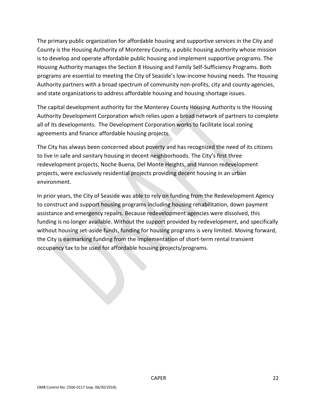The primary public organization for affordable housing and supportive services in the City and County is the Housing Authority of Monterey County, a public housing authority whose mission is to develop and operate affordable public housing and implement supportive programs. The Housing Authority manages the Section 8 Housing and Family Self-Sufficiency Programs. Both programs are essential to meeting the City of Seaside's low-income housing needs. The Housing Authority partners with a broad spectrum of community non-profits, city and county agencies, and state organizations to address affordable housing and housing shortage issues.

The capital development authority for the Monterey County Housing Authority is the Housing Authority Development Corporation which relies upon a broad network of partners to complete all of its developments. The Development Corporation works to facilitate local zoning agreements and finance affordable housing projects.

The City has always been concerned about poverty and has recognized the need of its citizens to live in safe and sanitary housing in decent neighborhoods. The City's first three redevelopment projects, Noche Buena, Del Monte Heights, and Hannon redevelopment projects, were exclusively residential projects providing decent housing in an urban environment.

In prior years, the City of Seaside was able to rely on funding from the Redevelopment Agency to construct and support housing programs including housing rehabilitation, down payment assistance and emergency repairs. Because redevelopment agencies were dissolved, this funding is no longer available. Without the support provided by redevelopment, and specifically without housing set-aside funds, funding for housing programs is very limited. Moving forward, the City is earmarking funding from the implementation of short-term rental transient occupancy tax to be used for affordable housing projects/programs.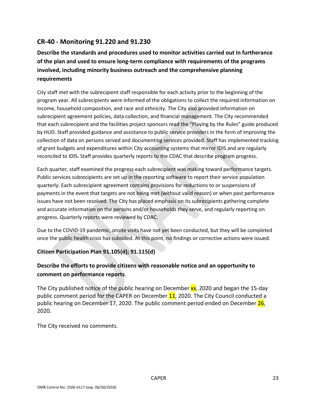## **CR-40 - Monitoring 91.220 and 91.230**

# **Describe the standards and procedures used to monitor activities carried out in furtherance of the plan and used to ensure long-term compliance with requirements of the programs involved, including minority business outreach and the comprehensive planning requirements**

City staff met with the subrecipient staff responsible for each activity prior to the beginning of the program year. All subrecipients were informed of the obligations to collect the required information on income, household composition, and race and ethnicity. The City also provided information on subrecipient agreement policies, data collection, and financial management. The City recommended that each subrecipient and the facilities project sponsors read the "Playing by the Rules" guide produced by HUD. Staff provided guidance and assistance to public service providers in the form of improving the collection of data on persons served and documenting services provided. Staff has implemented tracking of grant budgets and expenditures within City accounting systems that mirror IDIS and are regularly reconciled to IDIS. Staff provides quarterly reports to the CDAC that describe program progress.

Each quarter, staff examined the progress each subrecipient was making toward performance targets. Public services subrecipients are set up in the reporting software to report their service population quarterly. Each subrecipient agreement contains provisions for reductions to or suspensions of payments in the event that targets are not being met (without valid reason) or when past performance issues have not been resolved. The City has placed emphasis on its subrecipients gathering complete and accurate information on the persons and/or households they serve, and regularly reporting on progress. Quarterly reports were reviewed by CDAC.

Due to the COVID-19 pandemic, onsite visits have not yet been conducted, but they will be completed once the public health crisis has subsided. At this point, no findings or corrective actions were issued.

### **Citizen Participation Plan 91.105(d); 91.115(d)**

## **Describe the efforts to provide citizens with reasonable notice and an opportunity to comment on performance reports**.

The City published notice of the public hearing on December  $xx$ , 2020 and began the 15-day public comment period for the CAPER on December 11, 2020. The City Council conducted a public hearing on December 17, 2020. The public comment period ended on December 26, 2020.

The City received no comments.